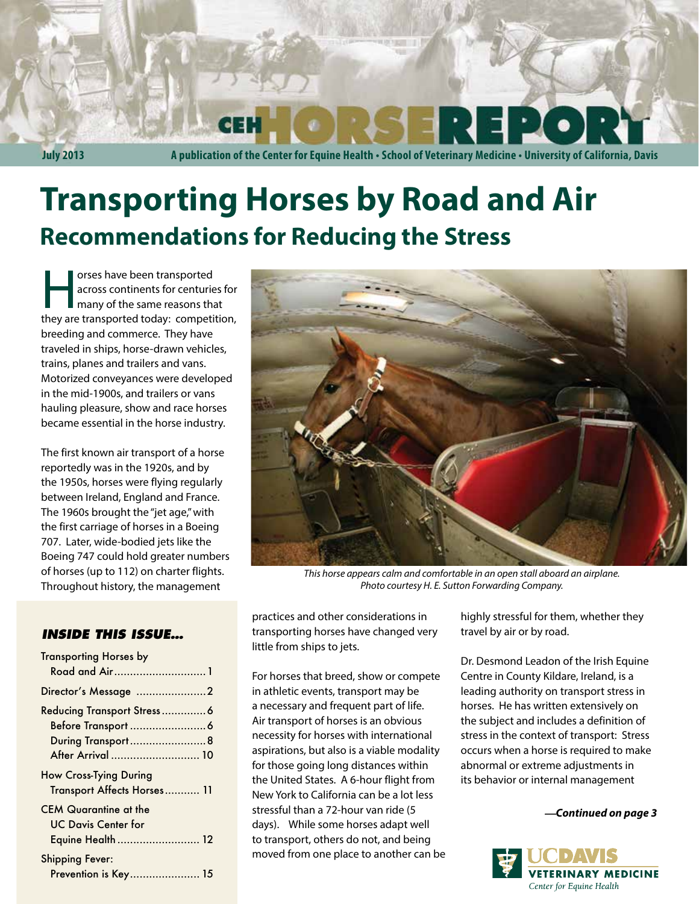**July 2013 A publication of the Center for Equine Health • School of Veterinary Medicine • University of California, Davis**

# **Transporting Horses by Road and Air Recommendations for Reducing the Stress**

orses have been transported<br>across continents for centuries<br>many of the same reasons the<br>thou are transported today: competiacross continents for centuries for many of the same reasons that they are transported today: competition, breeding and commerce. They have traveled in ships, horse-drawn vehicles, trains, planes and trailers and vans. Motorized conveyances were developed in the mid-1900s, and trailers or vans hauling pleasure, show and race horses became essential in the horse industry.

The first known air transport of a horse reportedly was in the 1920s, and by the 1950s, horses were flying regularly between Ireland, England and France. The 1960s brought the "jet age," with the first carriage of horses in a Boeing 707. Later, wide-bodied jets like the Boeing 747 could hold greater numbers of horses (up to 112) on charter flights. Throughout history, the management

#### *INSIDE THIS ISSUE…*

| <b>Transporting Horses by</b><br>Road and Air1                           |
|--------------------------------------------------------------------------|
| Director's Message 2                                                     |
| Reducing Transport Stress6<br>During Transport8<br>After Arrival  10     |
| <b>How Cross-Tying During</b><br>Transport Affects Horses 11             |
| <b>CEM Quarantine at the</b><br>UC Davis Center for<br>Equine Health  12 |
| <b>Shipping Fever:</b><br>Prevention is Key 15                           |



*This horse appears calm and comfortable in an open stall aboard an airplane. Photo courtesy H. E. Sutton Forwarding Company.*

practices and other considerations in transporting horses have changed very little from ships to jets.

For horses that breed, show or compete in athletic events, transport may be a necessary and frequent part of life. Air transport of horses is an obvious necessity for horses with international aspirations, but also is a viable modality for those going long distances within the United States. A 6-hour flight from New York to California can be a lot less stressful than a 72-hour van ride (5 days). While some horses adapt well to transport, others do not, and being moved from one place to another can be highly stressful for them, whether they travel by air or by road.

Dr. Desmond Leadon of the Irish Equine Centre in County Kildare, Ireland, is a leading authority on transport stress in horses. He has written extensively on the subject and includes a definition of stress in the context of transport: Stress occurs when a horse is required to make abnormal or extreme adjustments in its behavior or internal management

*—Continued on page 3*

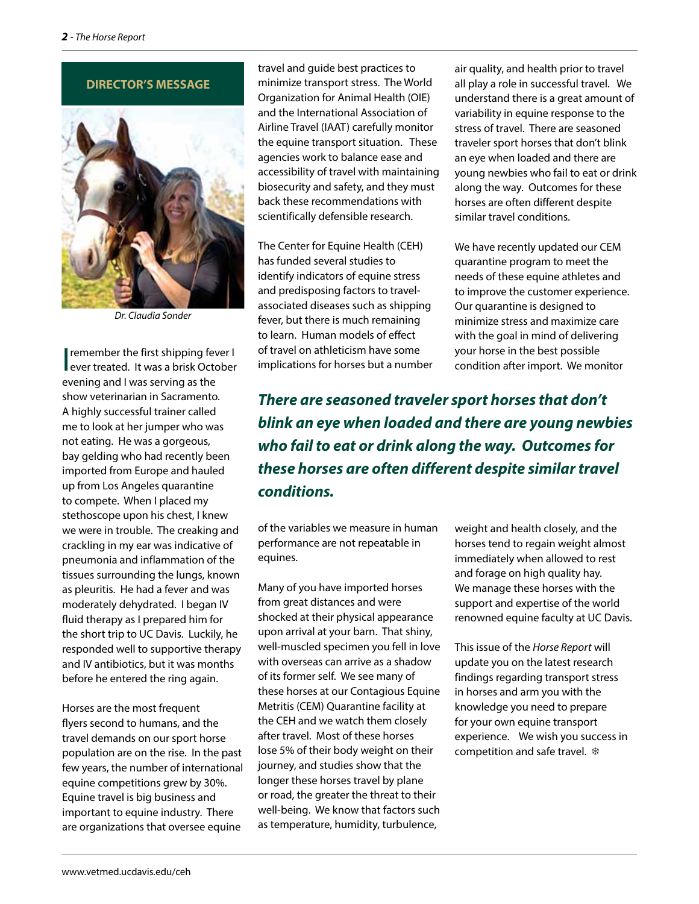



*Dr. Claudia Sonder*

I remember the first shipping fever I<br>
ever treated. It was a brisk October remember the first shipping fever I evening and I was serving as the show veterinarian in Sacramento. A highly successful trainer called me to look at her jumper who was not eating. He was a gorgeous, bay gelding who had recently been imported from Europe and hauled up from Los Angeles quarantine to compete. When I placed my stethoscope upon his chest, I knew we were in trouble. The creaking and crackling in my ear was indicative of pneumonia and inflammation of the tissues surrounding the lungs, known as pleuritis. He had a fever and was moderately dehydrated. I began IV fluid therapy as I prepared him for the short trip to UC Davis. Luckily, he responded well to supportive therapy and IV antibiotics, but it was months before he entered the ring again.

Horses are the most frequent flyers second to humans, and the travel demands on our sport horse population are on the rise. In the past few years, the number of international equine competitions grew by 30%. Equine travel is big business and important to equine industry. There are organizations that oversee equine

travel and guide best practices to minimize transport stress. The World Organization for Animal Health (OIE) and the International Association of Airline Travel (IAAT) carefully monitor the equine transport situation. These agencies work to balance ease and accessibility of travel with maintaining biosecurity and safety, and they must back these recommendations with scientifically defensible research.

The Center for Equine Health (CEH) has funded several studies to identify indicators of equine stress and predisposing factors to travelassociated diseases such as shipping fever, but there is much remaining to learn. Human models of effect of travel on athleticism have some implications for horses but a number air quality, and health prior to travel all play a role in successful travel. We understand there is a great amount of variability in equine response to the stress of travel. There are seasoned traveler sport horses that don't blink an eye when loaded and there are young newbies who fail to eat or drink along the way. Outcomes for these horses are often different despite similar travel conditions.

We have recently updated our CEM quarantine program to meet the needs of these equine athletes and to improve the customer experience. Our quarantine is designed to minimize stress and maximize care with the goal in mind of delivering your horse in the best possible condition after import. We monitor

*There are seasoned traveler sport horses that don't blink an eye when loaded and there are young newbies who fail to eat or drink along the way. Outcomes for these horses are often different despite similar travel conditions.*

of the variables we measure in human performance are not repeatable in equines.

Many of you have imported horses from great distances and were shocked at their physical appearance upon arrival at your barn. That shiny, well-muscled specimen you fell in love with overseas can arrive as a shadow of its former self. We see many of these horses at our Contagious Equine Metritis (CEM) Quarantine facility at the CEH and we watch them closely after travel. Most of these horses lose 5% of their body weight on their journey, and studies show that the longer these horses travel by plane or road, the greater the threat to their well-being. We know that factors such as temperature, humidity, turbulence,

weight and health closely, and the horses tend to regain weight almost immediately when allowed to rest and forage on high quality hay. We manage these horses with the support and expertise of the world renowned equine faculty at UC Davis.

This issue of the *Horse Report* will update you on the latest research findings regarding transport stress in horses and arm you with the knowledge you need to prepare for your own equine transport experience. We wish you success in competition and safe travel. ❄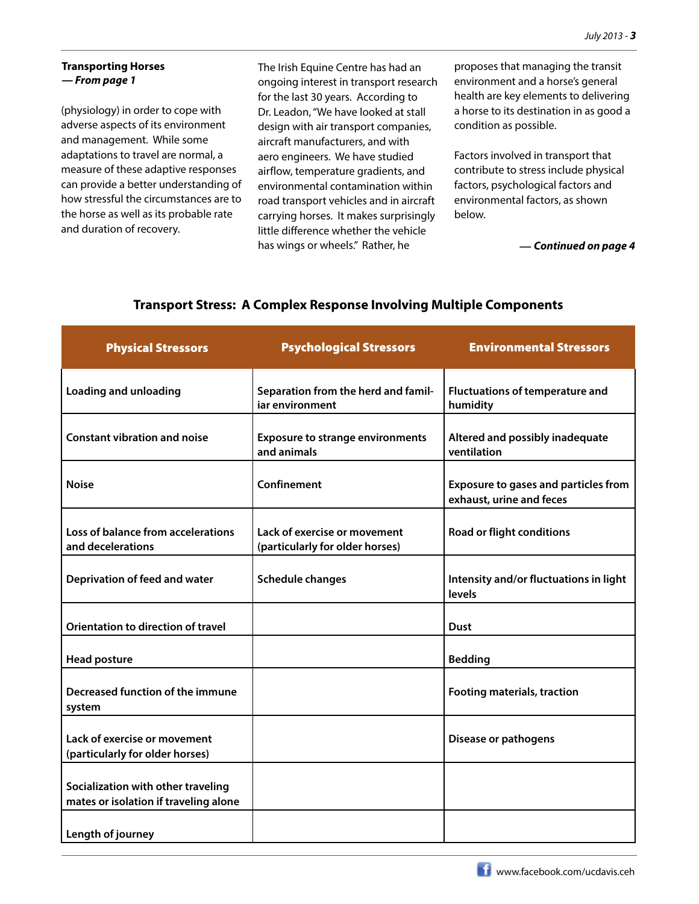#### **Transporting Horses** *— From page 1*

(physiology) in order to cope with adverse aspects of its environment and management. While some adaptations to travel are normal, a measure of these adaptive responses can provide a better understanding of how stressful the circumstances are to the horse as well as its probable rate and duration of recovery.

The Irish Equine Centre has had an ongoing interest in transport research for the last 30 years. According to Dr. Leadon, "We have looked at stall design with air transport companies, aircraft manufacturers, and with aero engineers. We have studied airflow, temperature gradients, and environmental contamination within road transport vehicles and in aircraft carrying horses. It makes surprisingly little difference whether the vehicle has wings or wheels." Rather, he

proposes that managing the transit environment and a horse's general health are key elements to delivering a horse to its destination in as good a condition as possible.

Factors involved in transport that contribute to stress include physical factors, psychological factors and environmental factors, as shown below.

*— Continued on page 4*

| <b>Physical Stressors</b>                                                   | <b>Psychological Stressors</b>                                  | <b>Environmental Stressors</b>                                          |
|-----------------------------------------------------------------------------|-----------------------------------------------------------------|-------------------------------------------------------------------------|
| <b>Loading and unloading</b>                                                | Separation from the herd and famil-<br>iar environment          | <b>Fluctuations of temperature and</b><br>humidity                      |
| <b>Constant vibration and noise</b>                                         | <b>Exposure to strange environments</b><br>and animals          | Altered and possibly inadequate<br>ventilation                          |
| <b>Noise</b>                                                                | Confinement                                                     | <b>Exposure to gases and particles from</b><br>exhaust, urine and feces |
| Loss of balance from accelerations<br>and decelerations                     | Lack of exercise or movement<br>(particularly for older horses) | <b>Road or flight conditions</b>                                        |
| Deprivation of feed and water                                               | <b>Schedule changes</b>                                         | Intensity and/or fluctuations in light<br>levels                        |
| Orientation to direction of travel                                          |                                                                 | Dust                                                                    |
| <b>Head posture</b>                                                         |                                                                 | <b>Bedding</b>                                                          |
| Decreased function of the immune<br>system                                  |                                                                 | <b>Footing materials, traction</b>                                      |
| Lack of exercise or movement<br>(particularly for older horses)             |                                                                 | Disease or pathogens                                                    |
| Socialization with other traveling<br>mates or isolation if traveling alone |                                                                 |                                                                         |
| Length of journey                                                           |                                                                 |                                                                         |

#### **Transport Stress: A Complex Response Involving Multiple Components**

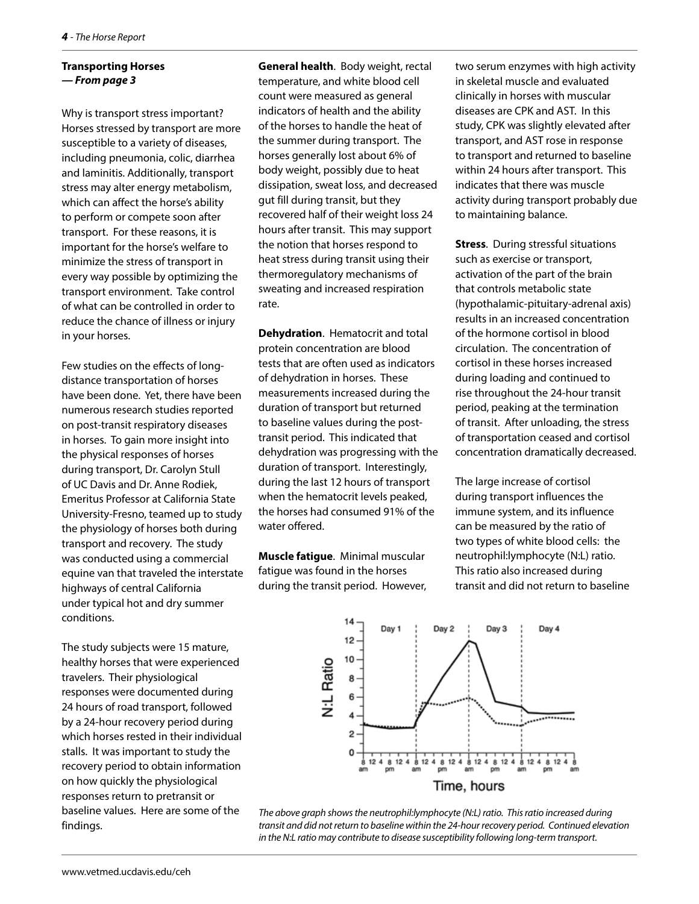#### **Transporting Horses** *— From page 3*

Why is transport stress important? Horses stressed by transport are more susceptible to a variety of diseases, including pneumonia, colic, diarrhea and laminitis. Additionally, transport stress may alter energy metabolism, which can affect the horse's ability to perform or compete soon after transport. For these reasons, it is important for the horse's welfare to minimize the stress of transport in every way possible by optimizing the transport environment. Take control of what can be controlled in order to reduce the chance of illness or injury in your horses.

Few studies on the effects of longdistance transportation of horses have been done. Yet, there have been numerous research studies reported on post-transit respiratory diseases in horses. To gain more insight into the physical responses of horses during transport, Dr. Carolyn Stull of UC Davis and Dr. Anne Rodiek, Emeritus Professor at California State University-Fresno, teamed up to study the physiology of horses both during transport and recovery. The study was conducted using a commercial equine van that traveled the interstate highways of central California under typical hot and dry summer conditions.

The study subjects were 15 mature, healthy horses that were experienced travelers. Their physiological responses were documented during 24 hours of road transport, followed by a 24-hour recovery period during which horses rested in their individual stalls. It was important to study the recovery period to obtain information on how quickly the physiological responses return to pretransit or baseline values. Here are some of the findings.

**General health**. Body weight, rectal temperature, and white blood cell count were measured as general indicators of health and the ability of the horses to handle the heat of the summer during transport. The horses generally lost about 6% of body weight, possibly due to heat dissipation, sweat loss, and decreased gut fill during transit, but they recovered half of their weight loss 24 hours after transit. This may support the notion that horses respond to heat stress during transit using their thermoregulatory mechanisms of sweating and increased respiration rate.

**Dehydration**. Hematocrit and total protein concentration are blood tests that are often used as indicators of dehydration in horses. These measurements increased during the duration of transport but returned to baseline values during the posttransit period. This indicated that dehydration was progressing with the duration of transport. Interestingly, during the last 12 hours of transport when the hematocrit levels peaked, the horses had consumed 91% of the water offered.

**Muscle fatigue**. Minimal muscular fatigue was found in the horses during the transit period. However,

two serum enzymes with high activity in skeletal muscle and evaluated clinically in horses with muscular diseases are CPK and AST. In this study, CPK was slightly elevated after transport, and AST rose in response to transport and returned to baseline within 24 hours after transport. This indicates that there was muscle activity during transport probably due to maintaining balance.

**Stress**. During stressful situations such as exercise or transport, activation of the part of the brain that controls metabolic state (hypothalamic-pituitary-adrenal axis) results in an increased concentration of the hormone cortisol in blood circulation. The concentration of cortisol in these horses increased during loading and continued to rise throughout the 24-hour transit period, peaking at the termination of transit. After unloading, the stress of transportation ceased and cortisol concentration dramatically decreased.

The large increase of cortisol during transport influences the immune system, and its influence can be measured by the ratio of two types of white blood cells: the neutrophil:lymphocyte (N:L) ratio. This ratio also increased during transit and did not return to baseline



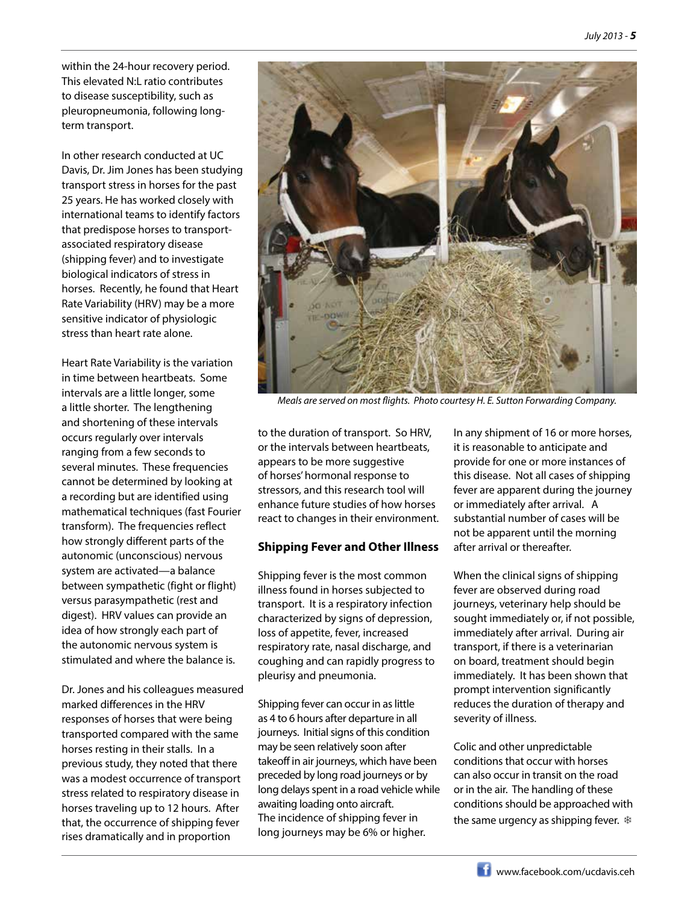within the 24-hour recovery period. This elevated N:L ratio contributes to disease susceptibility, such as pleuropneumonia, following longterm transport.

In other research conducted at UC Davis, Dr. Jim Jones has been studying transport stress in horses for the past 25 years. He has worked closely with international teams to identify factors that predispose horses to transportassociated respiratory disease (shipping fever) and to investigate biological indicators of stress in horses. Recently, he found that Heart Rate Variability (HRV) may be a more sensitive indicator of physiologic stress than heart rate alone.

Heart Rate Variability is the variation in time between heartbeats. Some intervals are a little longer, some a little shorter. The lengthening and shortening of these intervals occurs regularly over intervals ranging from a few seconds to several minutes. These frequencies cannot be determined by looking at a recording but are identified using mathematical techniques (fast Fourier transform). The frequencies reflect how strongly different parts of the autonomic (unconscious) nervous system are activated—a balance between sympathetic (fight or flight) versus parasympathetic (rest and digest). HRV values can provide an idea of how strongly each part of the autonomic nervous system is stimulated and where the balance is.

Dr. Jones and his colleagues measured marked differences in the HRV responses of horses that were being transported compared with the same horses resting in their stalls. In a previous study, they noted that there was a modest occurrence of transport stress related to respiratory disease in horses traveling up to 12 hours. After that, the occurrence of shipping fever rises dramatically and in proportion



*Meals are served on most flights. Photo courtesy H. E. Sutton Forwarding Company.*

to the duration of transport. So HRV, or the intervals between heartbeats, appears to be more suggestive of horses' hormonal response to stressors, and this research tool will enhance future studies of how horses react to changes in their environment.

#### **Shipping Fever and Other Illness**

Shipping fever is the most common illness found in horses subjected to transport. It is a respiratory infection characterized by signs of depression, loss of appetite, fever, increased respiratory rate, nasal discharge, and coughing and can rapidly progress to pleurisy and pneumonia.

Shipping fever can occur in as little as 4 to 6 hours after departure in all journeys. Initial signs of this condition may be seen relatively soon after takeoff in air journeys, which have been preceded by long road journeys or by long delays spent in a road vehicle while awaiting loading onto aircraft. The incidence of shipping fever in long journeys may be 6% or higher.

In any shipment of 16 or more horses, it is reasonable to anticipate and provide for one or more instances of this disease. Not all cases of shipping fever are apparent during the journey or immediately after arrival. A substantial number of cases will be not be apparent until the morning after arrival or thereafter.

When the clinical signs of shipping fever are observed during road journeys, veterinary help should be sought immediately or, if not possible, immediately after arrival. During air transport, if there is a veterinarian on board, treatment should begin immediately. It has been shown that prompt intervention significantly reduces the duration of therapy and severity of illness.

Colic and other unpredictable conditions that occur with horses can also occur in transit on the road or in the air. The handling of these conditions should be approached with the same urgency as shipping fever. ❄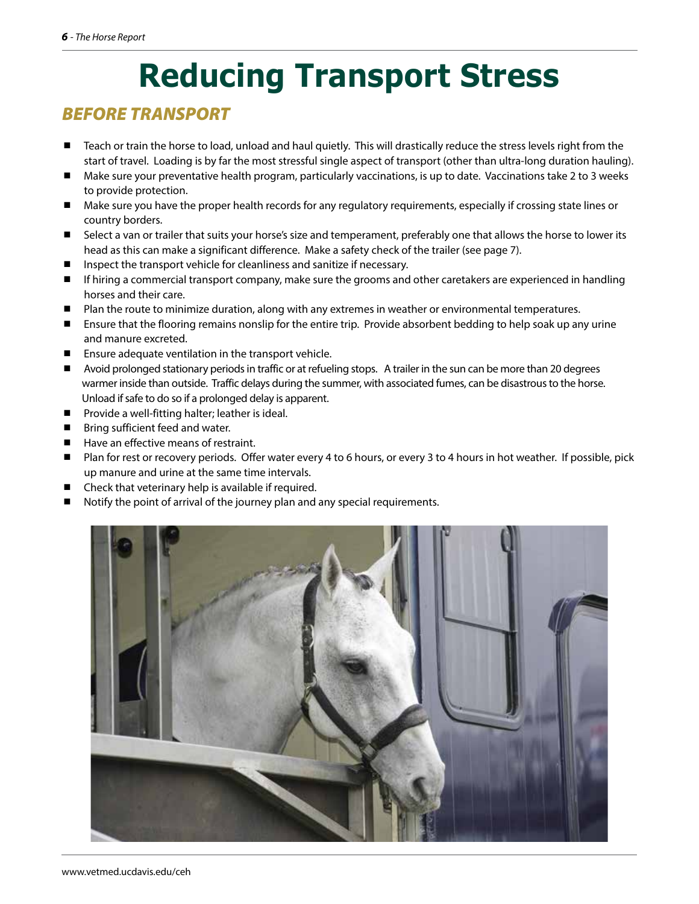# **Reducing Transport Stress**

### *BEFORE TRANSPORT*

- Teach or train the horse to load, unload and haul quietly. This will drastically reduce the stress levels right from the start of travel. Loading is by far the most stressful single aspect of transport (other than ultra-long duration hauling).
- Make sure your preventative health program, particularly vaccinations, is up to date. Vaccinations take 2 to 3 weeks to provide protection.
- Make sure you have the proper health records for any regulatory requirements, especially if crossing state lines or country borders.
- Select a van or trailer that suits your horse's size and temperament, preferably one that allows the horse to lower its head as this can make a significant difference. Make a safety check of the trailer (see page 7).
- Inspect the transport vehicle for cleanliness and sanitize if necessary.
- If hiring a commercial transport company, make sure the grooms and other caretakers are experienced in handling horses and their care.
- Plan the route to minimize duration, along with any extremes in weather or environmental temperatures.
- Ensure that the flooring remains nonslip for the entire trip. Provide absorbent bedding to help soak up any urine and manure excreted.
- Ensure adequate ventilation in the transport vehicle.
- Avoid prolonged stationary periods in traffic or at refueling stops. A trailer in the sun can be more than 20 degrees warmer inside than outside. Traffic delays during the summer, with associated fumes, can be disastrous to the horse. Unload if safe to do so if a prolonged delay is apparent.
- **Provide a well-fitting halter; leather is ideal.**
- **Bring sufficient feed and water.**
- Have an effective means of restraint.
- Plan for rest or recovery periods. Offer water every 4 to 6 hours, or every 3 to 4 hours in hot weather. If possible, pick up manure and urine at the same time intervals.
- Check that veterinary help is available if required.
- Notify the point of arrival of the journey plan and any special requirements.

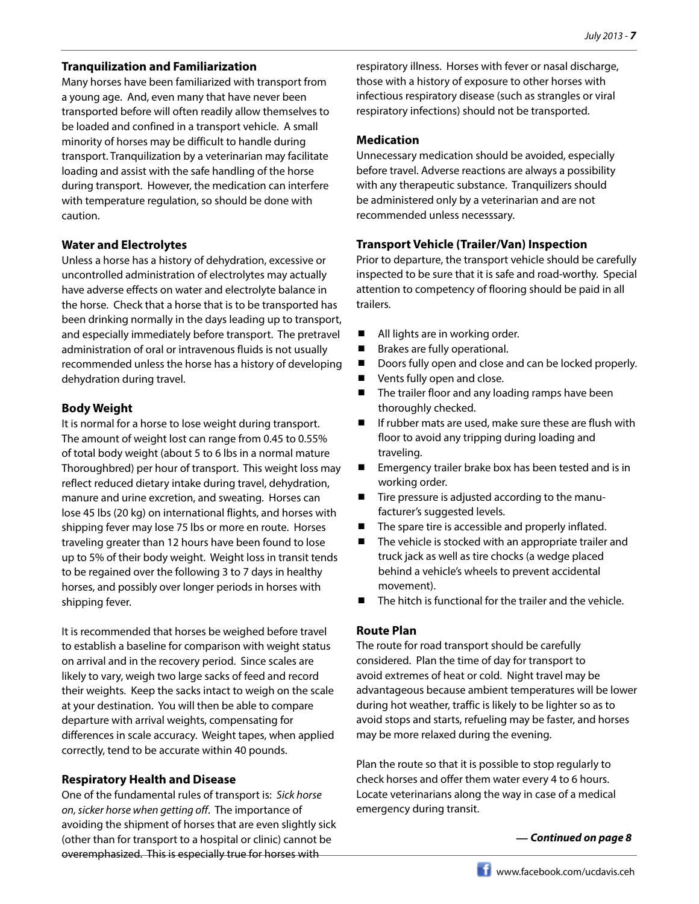#### **Tranquilization and Familiarization**

Many horses have been familiarized with transport from a young age. And, even many that have never been transported before will often readily allow themselves to be loaded and confined in a transport vehicle. A small minority of horses may be difficult to handle during transport. Tranquilization by a veterinarian may facilitate loading and assist with the safe handling of the horse during transport. However, the medication can interfere with temperature regulation, so should be done with caution.

#### **Water and Electrolytes**

Unless a horse has a history of dehydration, excessive or uncontrolled administration of electrolytes may actually have adverse effects on water and electrolyte balance in the horse. Check that a horse that is to be transported has been drinking normally in the days leading up to transport, and especially immediately before transport. The pretravel administration of oral or intravenous fluids is not usually recommended unless the horse has a history of developing dehydration during travel.

#### **Body Weight**

It is normal for a horse to lose weight during transport. The amount of weight lost can range from 0.45 to 0.55% of total body weight (about 5 to 6 lbs in a normal mature Thoroughbred) per hour of transport. This weight loss may reflect reduced dietary intake during travel, dehydration, manure and urine excretion, and sweating. Horses can lose 45 lbs (20 kg) on international flights, and horses with shipping fever may lose 75 lbs or more en route. Horses traveling greater than 12 hours have been found to lose up to 5% of their body weight. Weight loss in transit tends to be regained over the following 3 to 7 days in healthy horses, and possibly over longer periods in horses with shipping fever.

It is recommended that horses be weighed before travel to establish a baseline for comparison with weight status on arrival and in the recovery period. Since scales are likely to vary, weigh two large sacks of feed and record their weights. Keep the sacks intact to weigh on the scale at your destination. You will then be able to compare departure with arrival weights, compensating for differences in scale accuracy. Weight tapes, when applied correctly, tend to be accurate within 40 pounds.

#### **Respiratory Health and Disease**

One of the fundamental rules of transport is: *Sick horse on, sicker horse when getting off*. The importance of avoiding the shipment of horses that are even slightly sick (other than for transport to a hospital or clinic) cannot be overemphasized. This is especially true for horses with

respiratory illness. Horses with fever or nasal discharge, those with a history of exposure to other horses with infectious respiratory disease (such as strangles or viral respiratory infections) should not be transported.

#### **Medication**

Unnecessary medication should be avoided, especially before travel. Adverse reactions are always a possibility with any therapeutic substance. Tranquilizers should be administered only by a veterinarian and are not recommended unless necesssary.

#### **Transport Vehicle (Trailer/Van) Inspection**

Prior to departure, the transport vehicle should be carefully inspected to be sure that it is safe and road-worthy. Special attention to competency of flooring should be paid in all trailers.

- All lights are in working order.
- Brakes are fully operational.
- Doors fully open and close and can be locked properly.
- Vents fully open and close.
- The trailer floor and any loading ramps have been thoroughly checked.
- $\blacksquare$  If rubber mats are used, make sure these are flush with floor to avoid any tripping during loading and traveling.
- Emergency trailer brake box has been tested and is in working order.
- Tire pressure is adjusted according to the manufacturer's suggested levels.
- The spare tire is accessible and properly inflated.
- $\blacksquare$  The vehicle is stocked with an appropriate trailer and truck jack as well as tire chocks (a wedge placed behind a vehicle's wheels to prevent accidental movement).
- The hitch is functional for the trailer and the vehicle.

#### **Route Plan**

The route for road transport should be carefully considered. Plan the time of day for transport to avoid extremes of heat or cold. Night travel may be advantageous because ambient temperatures will be lower during hot weather, traffic is likely to be lighter so as to avoid stops and starts, refueling may be faster, and horses may be more relaxed during the evening.

Plan the route so that it is possible to stop regularly to check horses and offer them water every 4 to 6 hours. Locate veterinarians along the way in case of a medical emergency during transit.

*— Continued on page 8*

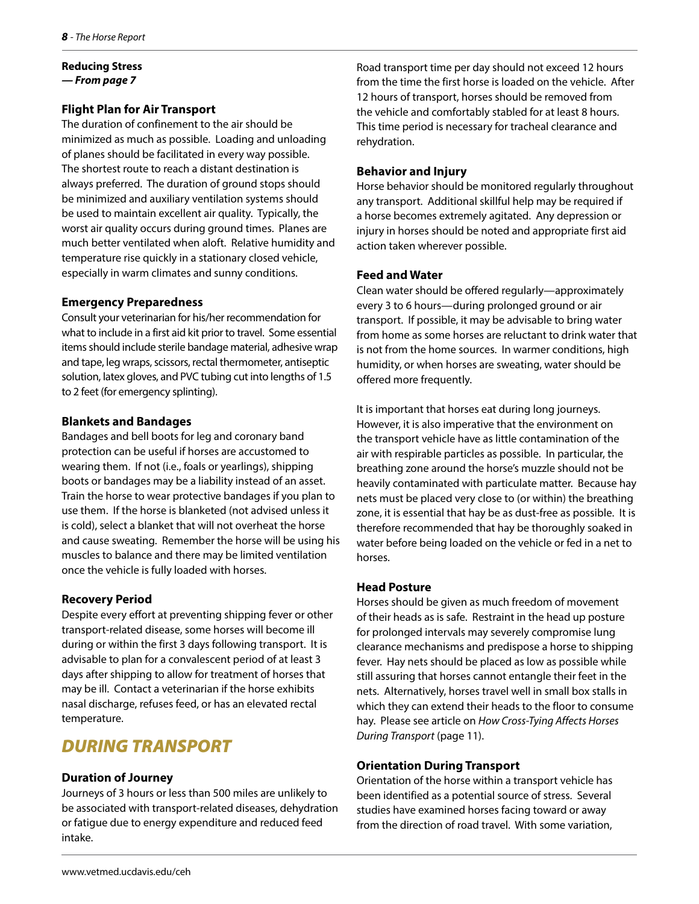#### **Reducing Stress** *— From page 7*

#### **Flight Plan for Air Transport**

The duration of confinement to the air should be minimized as much as possible. Loading and unloading of planes should be facilitated in every way possible. The shortest route to reach a distant destination is always preferred. The duration of ground stops should be minimized and auxiliary ventilation systems should be used to maintain excellent air quality. Typically, the worst air quality occurs during ground times. Planes are much better ventilated when aloft. Relative humidity and temperature rise quickly in a stationary closed vehicle, especially in warm climates and sunny conditions.

#### **Emergency Preparedness**

Consult your veterinarian for his/her recommendation for what to include in a first aid kit prior to travel. Some essential items should include sterile bandage material, adhesive wrap and tape, leg wraps, scissors, rectal thermometer, antiseptic solution, latex gloves, and PVC tubing cut into lengths of 1.5 to 2 feet (for emergency splinting).

#### **Blankets and Bandages**

Bandages and bell boots for leg and coronary band protection can be useful if horses are accustomed to wearing them. If not (i.e., foals or yearlings), shipping boots or bandages may be a liability instead of an asset. Train the horse to wear protective bandages if you plan to use them. If the horse is blanketed (not advised unless it is cold), select a blanket that will not overheat the horse and cause sweating. Remember the horse will be using his muscles to balance and there may be limited ventilation once the vehicle is fully loaded with horses.

#### **Recovery Period**

Despite every effort at preventing shipping fever or other transport-related disease, some horses will become ill during or within the first 3 days following transport. It is advisable to plan for a convalescent period of at least 3 days after shipping to allow for treatment of horses that may be ill. Contact a veterinarian if the horse exhibits nasal discharge, refuses feed, or has an elevated rectal temperature.

### *DURING TRANSPORT*

#### **Duration of Journey**

Journeys of 3 hours or less than 500 miles are unlikely to be associated with transport-related diseases, dehydration or fatigue due to energy expenditure and reduced feed intake.

Road transport time per day should not exceed 12 hours from the time the first horse is loaded on the vehicle. After 12 hours of transport, horses should be removed from the vehicle and comfortably stabled for at least 8 hours. This time period is necessary for tracheal clearance and rehydration.

#### **Behavior and Injury**

Horse behavior should be monitored regularly throughout any transport. Additional skillful help may be required if a horse becomes extremely agitated. Any depression or injury in horses should be noted and appropriate first aid action taken wherever possible.

#### **Feed and Water**

Clean water should be offered regularly—approximately every 3 to 6 hours—during prolonged ground or air transport. If possible, it may be advisable to bring water from home as some horses are reluctant to drink water that is not from the home sources. In warmer conditions, high humidity, or when horses are sweating, water should be offered more frequently.

It is important that horses eat during long journeys. However, it is also imperative that the environment on the transport vehicle have as little contamination of the air with respirable particles as possible. In particular, the breathing zone around the horse's muzzle should not be heavily contaminated with particulate matter. Because hay nets must be placed very close to (or within) the breathing zone, it is essential that hay be as dust-free as possible. It is therefore recommended that hay be thoroughly soaked in water before being loaded on the vehicle or fed in a net to horses.

#### **Head Posture**

Horses should be given as much freedom of movement of their heads as is safe. Restraint in the head up posture for prolonged intervals may severely compromise lung clearance mechanisms and predispose a horse to shipping fever. Hay nets should be placed as low as possible while still assuring that horses cannot entangle their feet in the nets. Alternatively, horses travel well in small box stalls in which they can extend their heads to the floor to consume hay. Please see article on *How Cross-Tying Affects Horses During Transport* (page 11).

#### **Orientation During Transport**

Orientation of the horse within a transport vehicle has been identified as a potential source of stress. Several studies have examined horses facing toward or away from the direction of road travel. With some variation,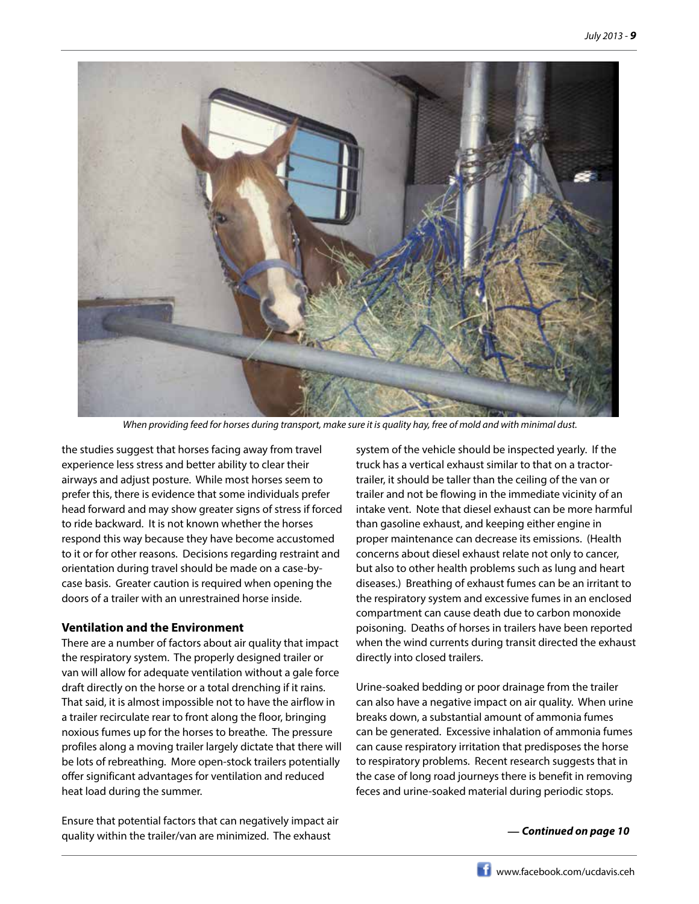

*When providing feed for horses during transport, make sure it is quality hay, free of mold and with minimal dust.*

the studies suggest that horses facing away from travel experience less stress and better ability to clear their airways and adjust posture. While most horses seem to prefer this, there is evidence that some individuals prefer head forward and may show greater signs of stress if forced to ride backward. It is not known whether the horses respond this way because they have become accustomed to it or for other reasons. Decisions regarding restraint and orientation during travel should be made on a case-bycase basis. Greater caution is required when opening the doors of a trailer with an unrestrained horse inside.

#### **Ventilation and the Environment**

There are a number of factors about air quality that impact the respiratory system. The properly designed trailer or van will allow for adequate ventilation without a gale force draft directly on the horse or a total drenching if it rains. That said, it is almost impossible not to have the airflow in a trailer recirculate rear to front along the floor, bringing noxious fumes up for the horses to breathe. The pressure profiles along a moving trailer largely dictate that there will be lots of rebreathing. More open-stock trailers potentially offer significant advantages for ventilation and reduced heat load during the summer.

Ensure that potential factors that can negatively impact air quality within the trailer/van are minimized. The exhaust

system of the vehicle should be inspected yearly. If the truck has a vertical exhaust similar to that on a tractortrailer, it should be taller than the ceiling of the van or trailer and not be flowing in the immediate vicinity of an intake vent. Note that diesel exhaust can be more harmful than gasoline exhaust, and keeping either engine in proper maintenance can decrease its emissions. (Health concerns about diesel exhaust relate not only to cancer, but also to other health problems such as lung and heart diseases.) Breathing of exhaust fumes can be an irritant to the respiratory system and excessive fumes in an enclosed compartment can cause death due to carbon monoxide poisoning. Deaths of horses in trailers have been reported when the wind currents during transit directed the exhaust directly into closed trailers.

Urine-soaked bedding or poor drainage from the trailer can also have a negative impact on air quality. When urine breaks down, a substantial amount of ammonia fumes can be generated. Excessive inhalation of ammonia fumes can cause respiratory irritation that predisposes the horse to respiratory problems. Recent research suggests that in the case of long road journeys there is benefit in removing feces and urine-soaked material during periodic stops.

#### *— Continued on page 10*

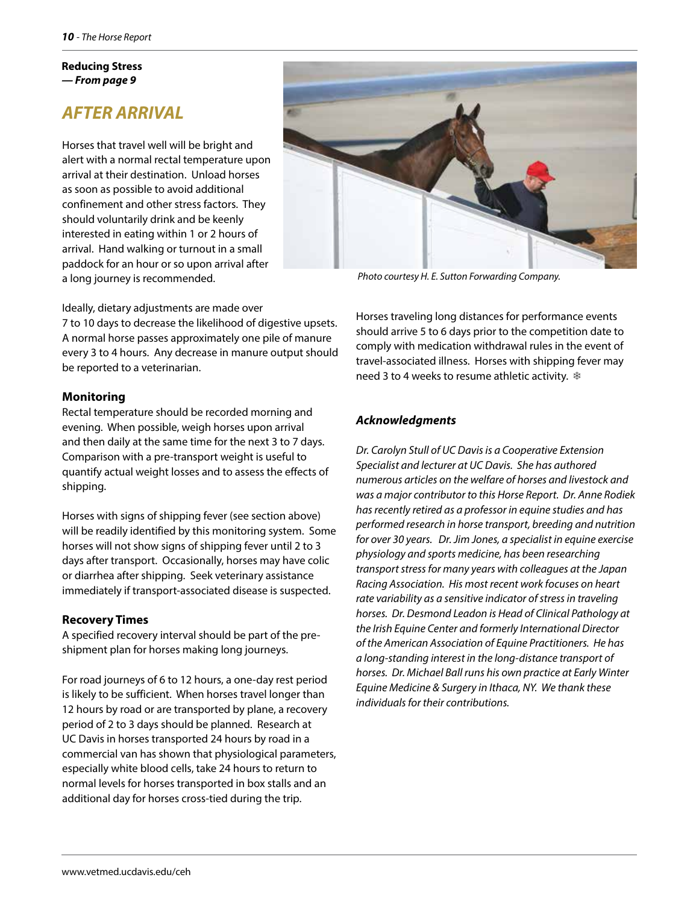#### **Reducing Stress** *— From page 9*

### *AFTER ARRIVAL*

Horses that travel well will be bright and alert with a normal rectal temperature upon arrival at their destination. Unload horses as soon as possible to avoid additional confinement and other stress factors. They should voluntarily drink and be keenly interested in eating within 1 or 2 hours of arrival. Hand walking or turnout in a small paddock for an hour or so upon arrival after a long journey is recommended.

*Photo courtesy H. E. Sutton Forwarding Company.*

Ideally, dietary adjustments are made over 7 to 10 days to decrease the likelihood of digestive upsets. A normal horse passes approximately one pile of manure every 3 to 4 hours. Any decrease in manure output should be reported to a veterinarian.

#### **Monitoring**

Rectal temperature should be recorded morning and evening. When possible, weigh horses upon arrival and then daily at the same time for the next 3 to 7 days. Comparison with a pre-transport weight is useful to quantify actual weight losses and to assess the effects of shipping.

Horses with signs of shipping fever (see section above) will be readily identified by this monitoring system. Some horses will not show signs of shipping fever until 2 to 3 days after transport. Occasionally, horses may have colic or diarrhea after shipping. Seek veterinary assistance immediately if transport-associated disease is suspected.

#### **Recovery Times**

A specified recovery interval should be part of the preshipment plan for horses making long journeys.

For road journeys of 6 to 12 hours, a one-day rest period is likely to be sufficient. When horses travel longer than 12 hours by road or are transported by plane, a recovery period of 2 to 3 days should be planned. Research at UC Davis in horses transported 24 hours by road in a commercial van has shown that physiological parameters, especially white blood cells, take 24 hours to return to normal levels for horses transported in box stalls and an additional day for horses cross-tied during the trip.

Horses traveling long distances for performance events should arrive 5 to 6 days prior to the competition date to comply with medication withdrawal rules in the event of travel-associated illness. Horses with shipping fever may need 3 to 4 weeks to resume athletic activity. ❄

#### *Acknowledgments*

*Dr. Carolyn Stull of UC Davis is a Cooperative Extension Specialist and lecturer at UC Davis. She has authored numerous articles on the welfare of horses and livestock and was a major contributor to this Horse Report. Dr. Anne Rodiek has recently retired as a professor in equine studies and has performed research in horse transport, breeding and nutrition for over 30 years. Dr. Jim Jones, a specialist in equine exercise physiology and sports medicine, has been researching transport stress for many years with colleagues at the Japan Racing Association. His most recent work focuses on heart rate variability as a sensitive indicator of stress in traveling horses. Dr. Desmond Leadon is Head of Clinical Pathology at the Irish Equine Center and formerly International Director of the American Association of Equine Practitioners. He has a long-standing interest in the long-distance transport of horses. Dr. Michael Ball runs his own practice at Early Winter Equine Medicine & Surgery in Ithaca, NY. We thank these individuals for their contributions.*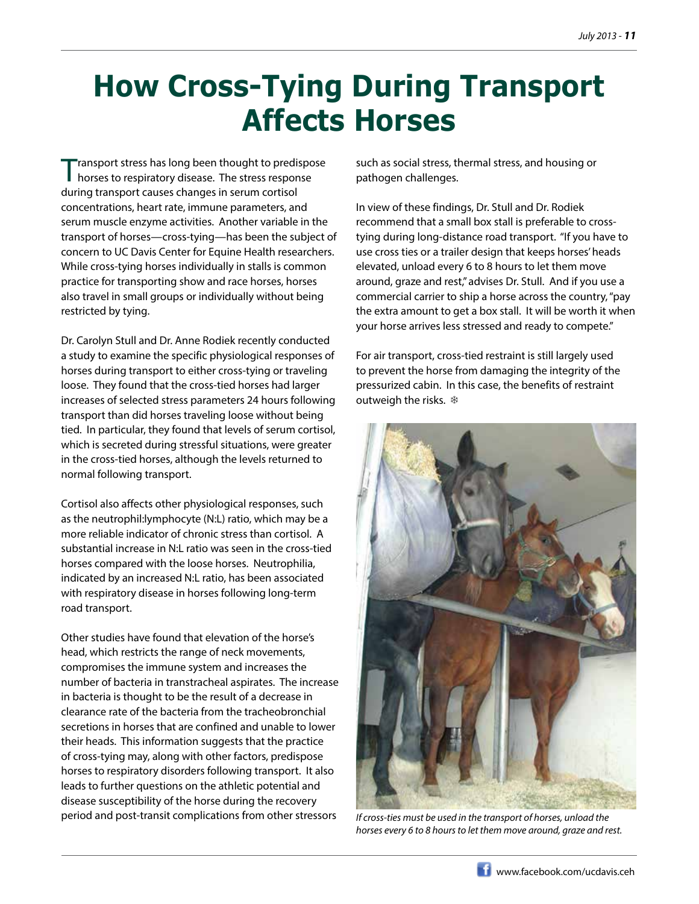# **How Cross-Tying During Transport Affects Horses**

Transport stress has long been thought to predispose horses to respiratory disease. The stress response during transport causes changes in serum cortisol concentrations, heart rate, immune parameters, and serum muscle enzyme activities. Another variable in the transport of horses—cross-tying—has been the subject of concern to UC Davis Center for Equine Health researchers. While cross-tying horses individually in stalls is common practice for transporting show and race horses, horses also travel in small groups or individually without being restricted by tying.

Dr. Carolyn Stull and Dr. Anne Rodiek recently conducted a study to examine the specific physiological responses of horses during transport to either cross-tying or traveling loose. They found that the cross-tied horses had larger increases of selected stress parameters 24 hours following transport than did horses traveling loose without being tied. In particular, they found that levels of serum cortisol, which is secreted during stressful situations, were greater in the cross-tied horses, although the levels returned to normal following transport.

Cortisol also affects other physiological responses, such as the neutrophil:lymphocyte (N:L) ratio, which may be a more reliable indicator of chronic stress than cortisol. A substantial increase in N:L ratio was seen in the cross-tied horses compared with the loose horses. Neutrophilia, indicated by an increased N:L ratio, has been associated with respiratory disease in horses following long-term road transport.

Other studies have found that elevation of the horse's head, which restricts the range of neck movements, compromises the immune system and increases the number of bacteria in transtracheal aspirates. The increase in bacteria is thought to be the result of a decrease in clearance rate of the bacteria from the tracheobronchial secretions in horses that are confined and unable to lower their heads. This information suggests that the practice of cross-tying may, along with other factors, predispose horses to respiratory disorders following transport. It also leads to further questions on the athletic potential and disease susceptibility of the horse during the recovery period and post-transit complications from other stressors

such as social stress, thermal stress, and housing or pathogen challenges.

In view of these findings, Dr. Stull and Dr. Rodiek recommend that a small box stall is preferable to crosstying during long-distance road transport. "If you have to use cross ties or a trailer design that keeps horses' heads elevated, unload every 6 to 8 hours to let them move around, graze and rest," advises Dr. Stull. And if you use a commercial carrier to ship a horse across the country, "pay the extra amount to get a box stall. It will be worth it when your horse arrives less stressed and ready to compete."

For air transport, cross-tied restraint is still largely used to prevent the horse from damaging the integrity of the pressurized cabin. In this case, the benefits of restraint outweigh the risks. ❄



*If cross-ties must be used in the transport of horses, unload the horses every 6 to 8 hours to let them move around, graze and rest.*

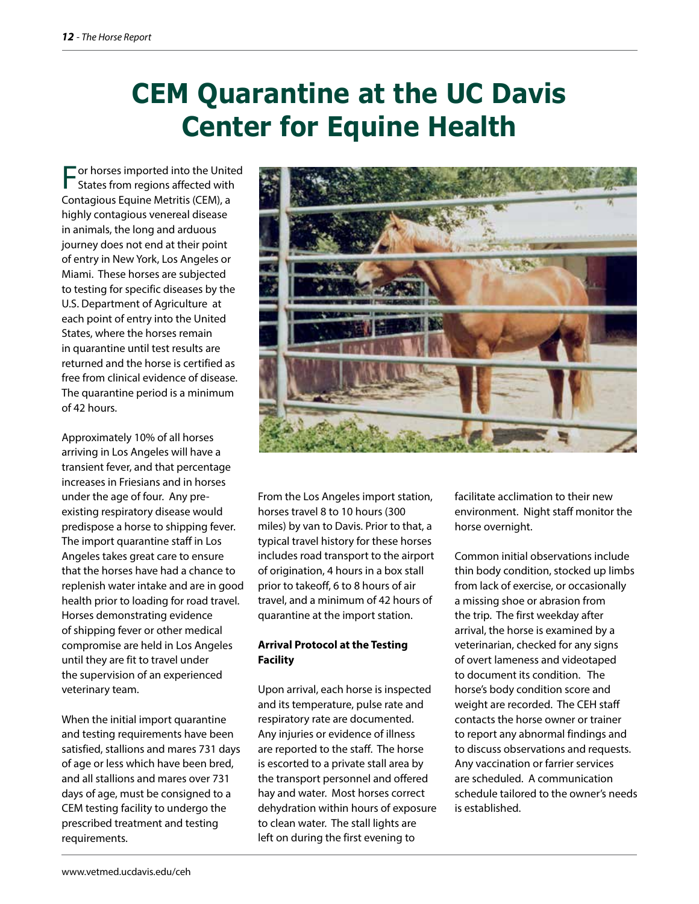# **CEM Quarantine at the UC Davis Center for Equine Health**

For horses imported into the United States from regions affected with Contagious Equine Metritis (CEM), a highly contagious venereal disease in animals, the long and arduous journey does not end at their point of entry in New York, Los Angeles or Miami. These horses are subjected to testing for specific diseases by the U.S. Department of Agriculture at each point of entry into the United States, where the horses remain in quarantine until test results are returned and the horse is certified as free from clinical evidence of disease. The quarantine period is a minimum of 42 hours.

Approximately 10% of all horses arriving in Los Angeles will have a transient fever, and that percentage increases in Friesians and in horses under the age of four. Any preexisting respiratory disease would predispose a horse to shipping fever. The import quarantine staff in Los Angeles takes great care to ensure that the horses have had a chance to replenish water intake and are in good health prior to loading for road travel. Horses demonstrating evidence of shipping fever or other medical compromise are held in Los Angeles until they are fit to travel under the supervision of an experienced veterinary team.

When the initial import quarantine and testing requirements have been satisfied, stallions and mares 731 days of age or less which have been bred, and all stallions and mares over 731 days of age, must be consigned to a CEM testing facility to undergo the prescribed treatment and testing requirements.



From the Los Angeles import station, horses travel 8 to 10 hours (300 miles) by van to Davis. Prior to that, a typical travel history for these horses includes road transport to the airport of origination, 4 hours in a box stall prior to takeoff, 6 to 8 hours of air travel, and a minimum of 42 hours of quarantine at the import station.

#### **Arrival Protocol at the Testing Facility**

Upon arrival, each horse is inspected and its temperature, pulse rate and respiratory rate are documented. Any injuries or evidence of illness are reported to the staff. The horse is escorted to a private stall area by the transport personnel and offered hay and water. Most horses correct dehydration within hours of exposure to clean water. The stall lights are left on during the first evening to

facilitate acclimation to their new environment. Night staff monitor the horse overnight.

Common initial observations include thin body condition, stocked up limbs from lack of exercise, or occasionally a missing shoe or abrasion from the trip. The first weekday after arrival, the horse is examined by a veterinarian, checked for any signs of overt lameness and videotaped to document its condition. The horse's body condition score and weight are recorded. The CEH staff contacts the horse owner or trainer to report any abnormal findings and to discuss observations and requests. Any vaccination or farrier services are scheduled. A communication schedule tailored to the owner's needs is established.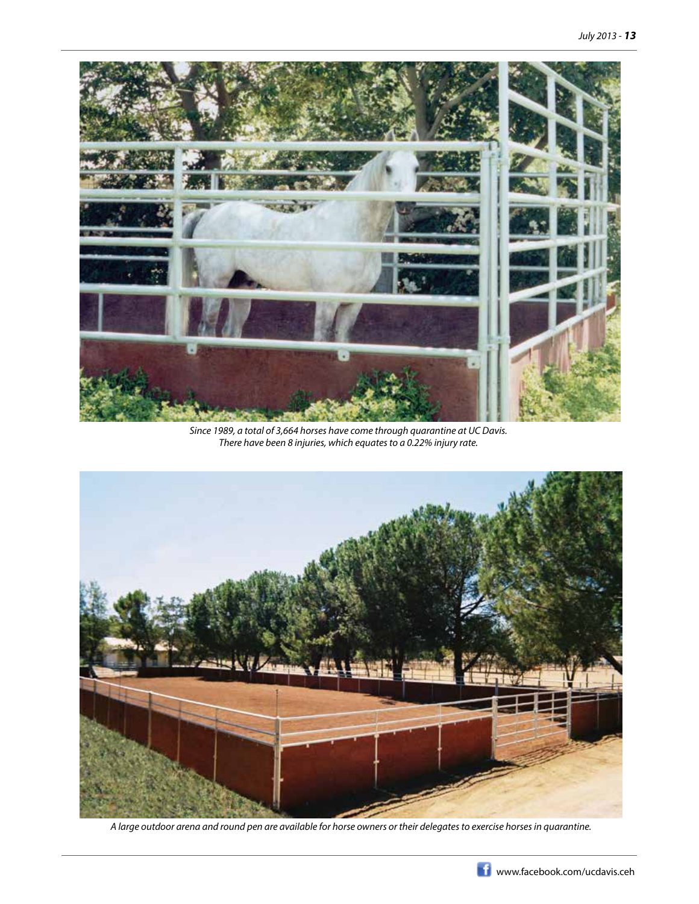

*Since 1989, a total of 3,664 horses have come through quarantine at UC Davis. There have been 8 injuries, which equates to a 0.22% injury rate.*



*A large outdoor arena and round pen are available for horse owners or their delegates to exercise horses in quarantine.*

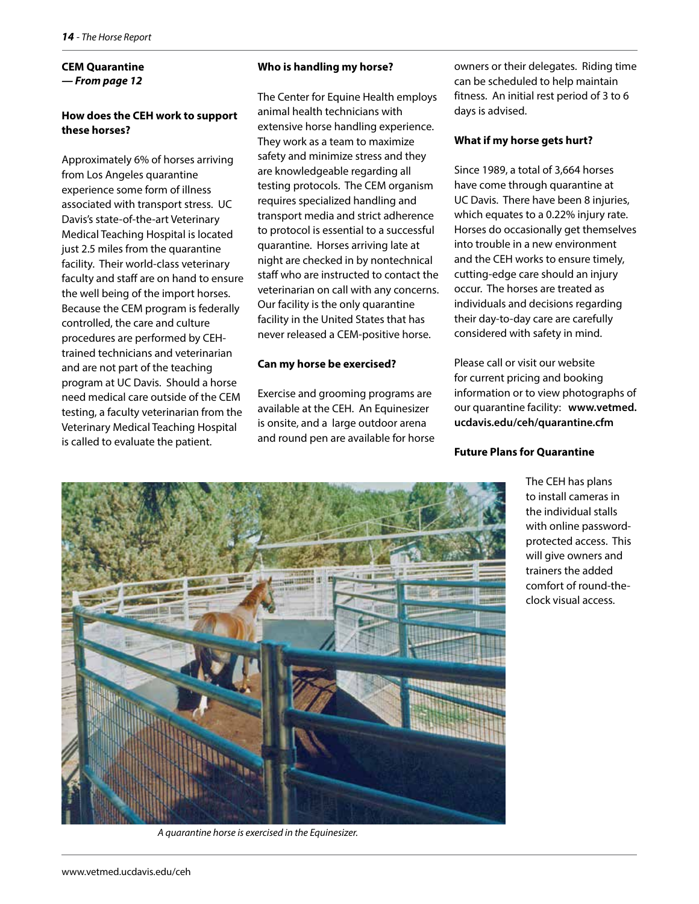#### **CEM Quarantine** *— From page 12*

#### **How does the CEH work to support these horses?**

Approximately 6% of horses arriving from Los Angeles quarantine experience some form of illness associated with transport stress. UC Davis's state-of-the-art Veterinary Medical Teaching Hospital is located just 2.5 miles from the quarantine facility. Their world-class veterinary faculty and staff are on hand to ensure the well being of the import horses. Because the CEM program is federally controlled, the care and culture procedures are performed by CEHtrained technicians and veterinarian and are not part of the teaching program at UC Davis. Should a horse need medical care outside of the CEM testing, a faculty veterinarian from the Veterinary Medical Teaching Hospital is called to evaluate the patient.

#### **Who is handling my horse?**

The Center for Equine Health employs animal health technicians with extensive horse handling experience. They work as a team to maximize safety and minimize stress and they are knowledgeable regarding all testing protocols. The CEM organism requires specialized handling and transport media and strict adherence to protocol is essential to a successful quarantine. Horses arriving late at night are checked in by nontechnical staff who are instructed to contact the veterinarian on call with any concerns. Our facility is the only quarantine facility in the United States that has never released a CEM-positive horse.

#### **Can my horse be exercised?**

Exercise and grooming programs are available at the CEH. An Equinesizer is onsite, and a large outdoor arena and round pen are available for horse owners or their delegates. Riding time can be scheduled to help maintain fitness. An initial rest period of 3 to 6 days is advised.

#### **What if my horse gets hurt?**

Since 1989, a total of 3,664 horses have come through quarantine at UC Davis. There have been 8 injuries, which equates to a 0.22% injury rate. Horses do occasionally get themselves into trouble in a new environment and the CEH works to ensure timely, cutting-edge care should an injury occur. The horses are treated as individuals and decisions regarding their day-to-day care are carefully considered with safety in mind.

Please call or visit our website for current pricing and booking information or to view photographs of our quarantine facility: **www.vetmed. ucdavis.edu/ceh/quarantine.cfm**

#### **Future Plans for Quarantine**

The CEH has plans to install cameras in the individual stalls with online passwordprotected access. This will give owners and trainers the added comfort of round-theclock visual access.



*A quarantine horse is exercised in the Equinesizer.*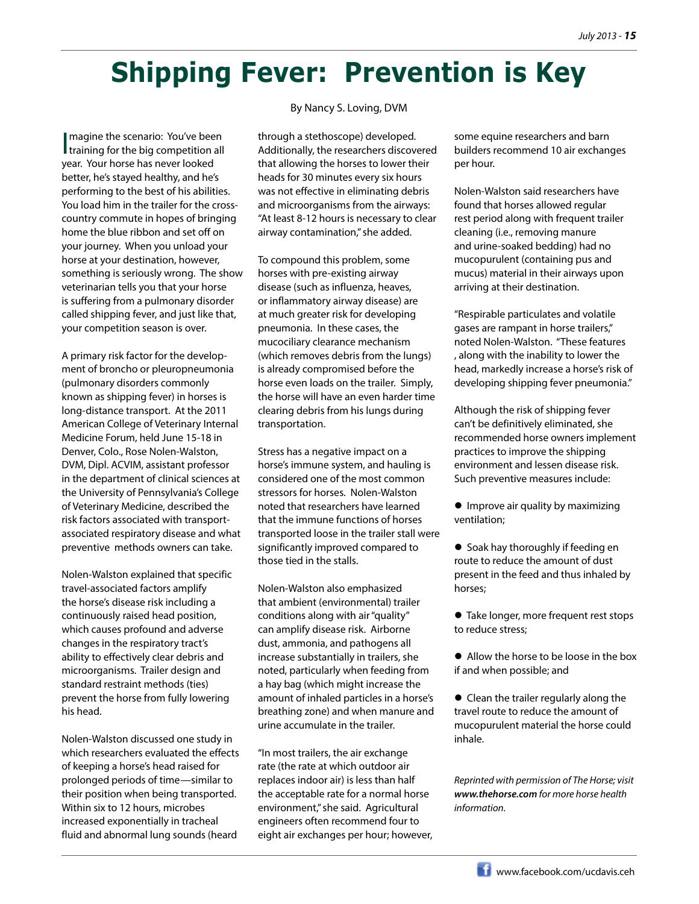# **Shipping Fever: Prevention is Key**

Imagine the scenario: You've been<br>training for the big competition all magine the scenario: You've been year. Your horse has never looked better, he's stayed healthy, and he's performing to the best of his abilities. You load him in the trailer for the crosscountry commute in hopes of bringing home the blue ribbon and set off on your journey. When you unload your horse at your destination, however, something is seriously wrong. The show veterinarian tells you that your horse is suffering from a pulmonary disorder called shipping fever, and just like that, your competition season is over.

A primary risk factor for the development of broncho or pleuropneumonia (pulmonary disorders commonly known as shipping fever) in horses is long-distance transport. At the 2011 American College of Veterinary Internal Medicine Forum, held June 15-18 in Denver, Colo., Rose Nolen-Walston, DVM, Dipl. ACVIM, assistant professor in the department of clinical sciences at the University of Pennsylvania's College of Veterinary Medicine, described the risk factors associated with transportassociated respiratory disease and what preventive methods owners can take.

Nolen-Walston explained that specific travel-associated factors amplify the horse's disease risk including a continuously raised head position, which causes profound and adverse changes in the respiratory tract's ability to effectively clear debris and microorganisms. Trailer design and standard restraint methods (ties) prevent the horse from fully lowering his head.

Nolen-Walston discussed one study in which researchers evaluated the effects of keeping a horse's head raised for prolonged periods of time—similar to their position when being transported. Within six to 12 hours, microbes increased exponentially in tracheal fluid and abnormal lung sounds (heard

#### By Nancy S. Loving, DVM

through a stethoscope) developed. Additionally, the researchers discovered that allowing the horses to lower their heads for 30 minutes every six hours was not effective in eliminating debris and microorganisms from the airways: "At least 8-12 hours is necessary to clear airway contamination," she added.

To compound this problem, some horses with pre-existing airway disease (such as influenza, heaves, or inflammatory airway disease) are at much greater risk for developing pneumonia. In these cases, the mucociliary clearance mechanism (which removes debris from the lungs) is already compromised before the horse even loads on the trailer. Simply, the horse will have an even harder time clearing debris from his lungs during transportation.

Stress has a negative impact on a horse's immune system, and hauling is considered one of the most common stressors for horses. Nolen-Walston noted that researchers have learned that the immune functions of horses transported loose in the trailer stall were significantly improved compared to those tied in the stalls.

Nolen-Walston also emphasized that ambient (environmental) trailer conditions along with air "quality" can amplify disease risk. Airborne dust, ammonia, and pathogens all increase substantially in trailers, she noted, particularly when feeding from a hay bag (which might increase the amount of inhaled particles in a horse's breathing zone) and when manure and urine accumulate in the trailer.

"In most trailers, the air exchange rate (the rate at which outdoor air replaces indoor air) is less than half the acceptable rate for a normal horse environment," she said. Agricultural engineers often recommend four to eight air exchanges per hour; however, some equine researchers and barn builders recommend 10 air exchanges per hour.

Nolen-Walston said researchers have found that horses allowed regular rest period along with frequent trailer cleaning (i.e., removing manure and urine-soaked bedding) had no mucopurulent (containing pus and mucus) material in their airways upon arriving at their destination.

"Respirable particulates and volatile gases are rampant in horse trailers," noted Nolen-Walston. "These features , along with the inability to lower the head, markedly increase a horse's risk of developing shipping fever pneumonia."

Although the risk of shipping fever can't be definitively eliminated, she recommended horse owners implement practices to improve the shipping environment and lessen disease risk. Such preventive measures include:

**•** Improve air quality by maximizing ventilation;

● Soak hay thoroughly if feeding en route to reduce the amount of dust present in the feed and thus inhaled by horses;

 Take longer, more frequent rest stops to reduce stress;

 Allow the horse to be loose in the box if and when possible; and

• Clean the trailer regularly along the travel route to reduce the amount of mucopurulent material the horse could inhale.

*Reprinted with permission of The Horse; visit www.thehorse.com for more horse health information.*